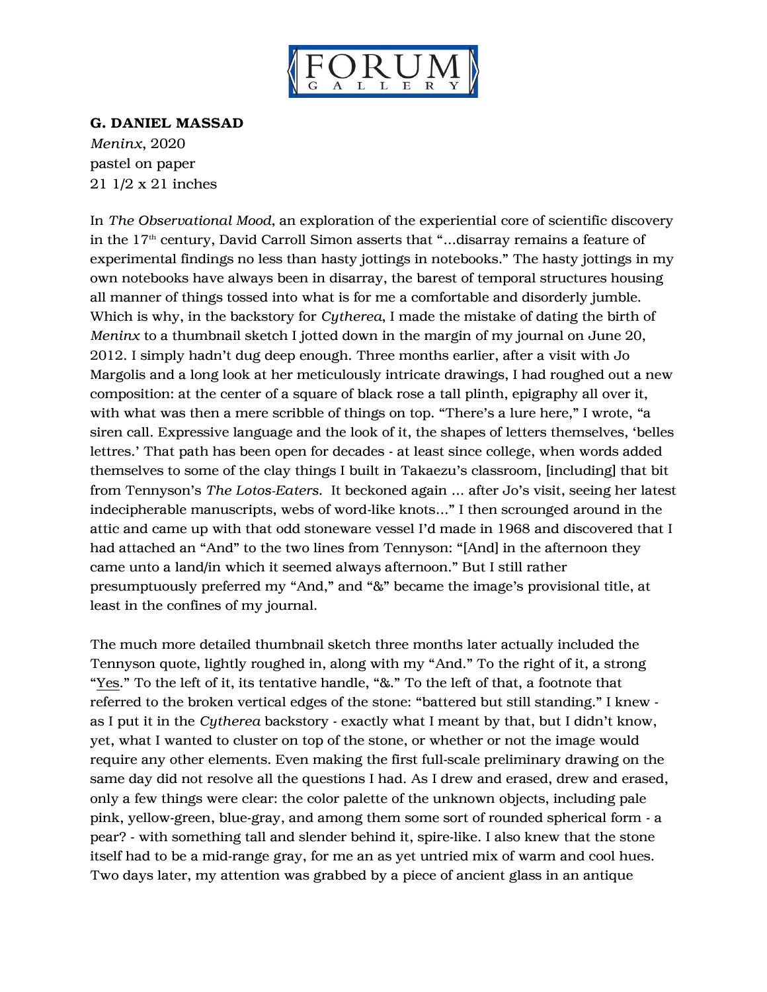

## G. DANIEL MASSAD

*Meninx*, 2020 pastel on paper 21 1/2 x 21 inches

In *The Observational Mood*, an exploration of the experiential core of scientific discovery in the 17<sup>th</sup> century, David Carroll Simon asserts that "...disarray remains a feature of experimental findings no less than hasty jottings in notebooks." The hasty jottings in my own notebooks have always been in disarray, the barest of temporal structures housing all manner of things tossed into what is for me a comfortable and disorderly jumble. Which is why, in the backstory for *Cytherea*, I made the mistake of dating the birth of *Meninx* to a thumbnail sketch I jotted down in the margin of my journal on June 20, 2012. I simply hadn't dug deep enough. Three months earlier, after a visit with Jo Margolis and a long look at her meticulously intricate drawings, I had roughed out a new composition: at the center of a square of black rose a tall plinth, epigraphy all over it, with what was then a mere scribble of things on top. "There's a lure here," I wrote, "a siren call. Expressive language and the look of it, the shapes of letters themselves, 'belles lettres.' That path has been open for decades - at least since college, when words added themselves to some of the clay things I built in Takaezu's classroom, [including] that bit from Tennyson's *The Lotos-Eaters*. It beckoned again … after Jo's visit, seeing her latest indecipherable manuscripts, webs of word-like knots…" I then scrounged around in the attic and came up with that odd stoneware vessel I'd made in 1968 and discovered that I had attached an "And" to the two lines from Tennyson: "[And] in the afternoon they came unto a land/in which it seemed always afternoon." But I still rather presumptuously preferred my "And," and "&" became the image's provisional title, at least in the confines of my journal.

The much more detailed thumbnail sketch three months later actually included the Tennyson quote, lightly roughed in, along with my "And." To the right of it, a strong "Yes." To the left of it, its tentative handle, "&." To the left of that, a footnote that referred to the broken vertical edges of the stone: "battered but still standing." I knew as I put it in the *Cytherea* backstory - exactly what I meant by that, but I didn't know, yet, what I wanted to cluster on top of the stone, or whether or not the image would require any other elements. Even making the first full-scale preliminary drawing on the same day did not resolve all the questions I had. As I drew and erased, drew and erased, only a few things were clear: the color palette of the unknown objects, including pale pink, yellow-green, blue-gray, and among them some sort of rounded spherical form - a pear? - with something tall and slender behind it, spire-like. I also knew that the stone itself had to be a mid-range gray, for me an as yet untried mix of warm and cool hues. Two days later, my attention was grabbed by a piece of ancient glass in an antique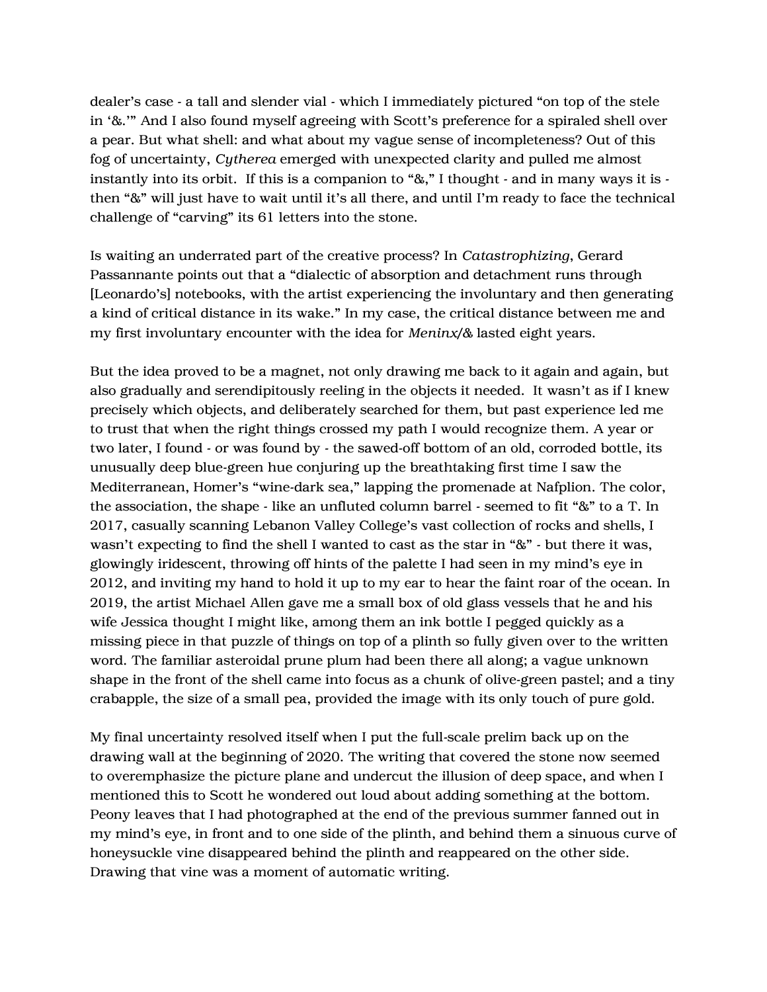dealer's case - a tall and slender vial - which I immediately pictured "on top of the stele in '&.'" And I also found myself agreeing with Scott's preference for a spiraled shell over a pear. But what shell: and what about my vague sense of incompleteness? Out of this fog of uncertainty, *Cytherea* emerged with unexpected clarity and pulled me almost instantly into its orbit. If this is a companion to "&," I thought - and in many ways it is then "&" will just have to wait until it's all there, and until I'm ready to face the technical challenge of "carving" its 61 letters into the stone.

Is waiting an underrated part of the creative process? In *Catastrophizing*, Gerard Passannante points out that a "dialectic of absorption and detachment runs through [Leonardo's] notebooks, with the artist experiencing the involuntary and then generating a kind of critical distance in its wake." In my case, the critical distance between me and my first involuntary encounter with the idea for *Meninx/&* lasted eight years.

But the idea proved to be a magnet, not only drawing me back to it again and again, but also gradually and serendipitously reeling in the objects it needed. It wasn't as if I knew precisely which objects, and deliberately searched for them, but past experience led me to trust that when the right things crossed my path I would recognize them. A year or two later, I found - or was found by - the sawed-off bottom of an old, corroded bottle, its unusually deep blue-green hue conjuring up the breathtaking first time I saw the Mediterranean, Homer's "wine-dark sea," lapping the promenade at Nafplion. The color, the association, the shape - like an unfluted column barrel - seemed to fit "&" to a T. In 2017, casually scanning Lebanon Valley College's vast collection of rocks and shells, I wasn't expecting to find the shell I wanted to cast as the star in "&" - but there it was, glowingly iridescent, throwing off hints of the palette I had seen in my mind's eye in 2012, and inviting my hand to hold it up to my ear to hear the faint roar of the ocean. In 2019, the artist Michael Allen gave me a small box of old glass vessels that he and his wife Jessica thought I might like, among them an ink bottle I pegged quickly as a missing piece in that puzzle of things on top of a plinth so fully given over to the written word. The familiar asteroidal prune plum had been there all along; a vague unknown shape in the front of the shell came into focus as a chunk of olive-green pastel; and a tiny crabapple, the size of a small pea, provided the image with its only touch of pure gold.

My final uncertainty resolved itself when I put the full-scale prelim back up on the drawing wall at the beginning of 2020. The writing that covered the stone now seemed to overemphasize the picture plane and undercut the illusion of deep space, and when I mentioned this to Scott he wondered out loud about adding something at the bottom. Peony leaves that I had photographed at the end of the previous summer fanned out in my mind's eye, in front and to one side of the plinth, and behind them a sinuous curve of honeysuckle vine disappeared behind the plinth and reappeared on the other side. Drawing that vine was a moment of automatic writing.